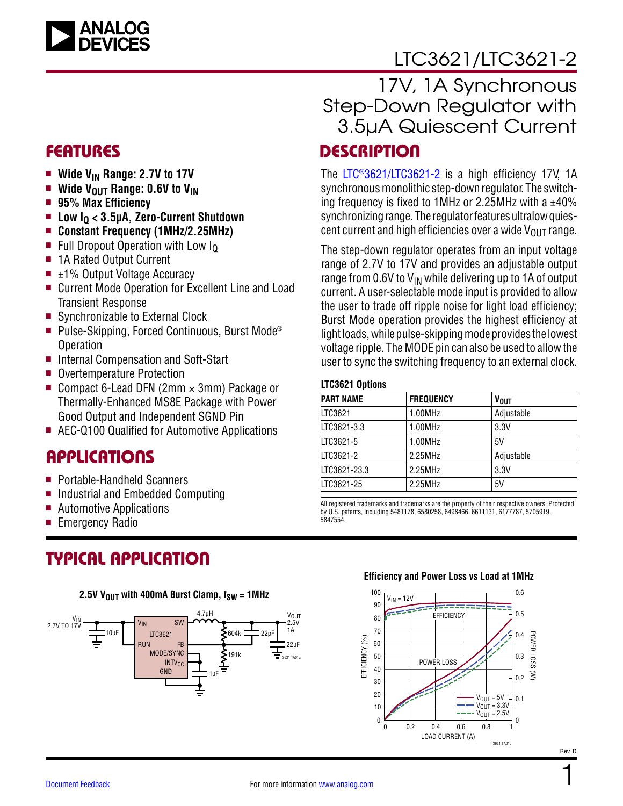

# [LTC3621/LTC3621-2](https://www.analog.com/LTC3621?doc=LTC3621-3621-2.pdf)

- Wide V<sub>IN</sub> Range: 2.7V to 17V
- **Wide V**OUT Range: 0.6V to V<sub>IN</sub>
- <sup>n</sup> **95% Max Efficiency**
- Low I<sub>0</sub> < 3.5µA, Zero-Current Shutdown
- Constant Frequency (1MHz/2.25MHz)
- Full Dropout Operation with Low  $I<sub>0</sub>$
- 1A Rated Output Current
- $\blacksquare$  ±1% Output Voltage Accuracy
- Current Mode Operation for Excellent Line and Load Transient Response
- Synchronizable to External Clock
- Pulse-Skipping, Forced Continuous, Burst Mode<sup>®</sup> Operation
- Internal Compensation and Soft-Start
- Overtemperature Protection
- Compact 6-Lead DFN (2mm  $\times$  3mm) Package or Thermally-Enhanced MS8E Package with Power Good Output and Independent SGND Pin
- AEC-Q100 Qualified for Automotive Applications

### **APPLICATIONS**

- Portable-Handheld Scanners
- Industrial and Embedded Computing
- $\blacksquare$  Automotive Applications
- $\blacksquare$  Emergency Radio

### TYPICAL APPLICATION



### FEATURES DESCRIPTION 17V, 1A Synchronous Step-Down Regulator with 3.5µA Quiescent Current

The [LTC®3621/LTC3621-2](https://www.analog.com/LTC3621?doc=LTC3621-3621-2.pdf) is a high efficiency 17V, 1A synchronous monolithic step-down regulator. The switching frequency is fixed to 1MHz or 2.25MHz with a  $±40\%$ synchronizing range. The regulator features ultralow quiescent current and high efficiencies over a wide  $V_{OUT}$  range.

The step-down regulator operates from an input voltage range of 2.7V to 17V and provides an adjustable output range from 0.6V to  $V_{IN}$  while delivering up to 1A of output current. A user-selectable mode input is provided to allow the user to trade off ripple noise for light load efficiency; Burst Mode operation provides the highest efficiency at light loads, while pulse-skipping mode provides the lowest voltage ripple. The MODE pin can also be used to allow the user to sync the switching frequency to an external clock.

#### **LTC3621 Options**

| <b>PART NAME</b> | <b>FREQUENCY</b> | <b>VOUT</b> |
|------------------|------------------|-------------|
| LTC3621          | 1.00MHz          | Adjustable  |
| LTC3621-3.3      | 1.00MHz          | 3.3V        |
| LTC3621-5        | 1.00MHz          | 5V          |
| LTC3621-2        | 2.25MHz          | Adjustable  |
| LTC3621-23.3     | 2.25MHz          | 3.3V        |
| LTC3621-25       | 2.25MHz          | 5V          |

All registered trademarks and trademarks are the property of their respective owners. Protected by U.S. patents, including 5481178, 6580258, 6498466, 6611131, 6177787, 5705919, 5847554.

#### **Efficiency and Power Loss vs Load at 1MHz**



1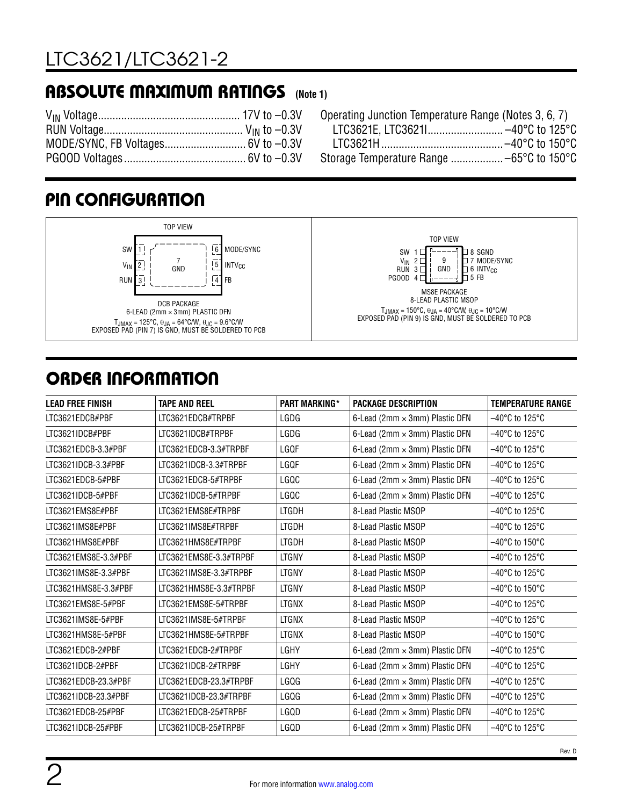# [LTC3621/LTC3621-2](https://www.analog.com/LTC3621?doc=LTC3621-3621-2.pdf)

### <span id="page-1-0"></span>ABSOLUTE MAXIMUM RATINGS **(Note 1)**



Operating Junction Temperature Range (Notes 3, 6, 7) LTC3621E, LTC3621I.......................... –40°C to 125°C LTC3621H.......................................... –40°C to 150°C Storage Temperature Range .................. –65°C to 150°C

# ORDER INFORMATION

| <b>LEAD FREE FINISH</b> | <b>TAPE AND REEL</b>   | <b>PART MARKING*</b> | <b>PACKAGE DESCRIPTION</b>     | <b>TEMPERATURE RANGE</b>            |
|-------------------------|------------------------|----------------------|--------------------------------|-------------------------------------|
| LTC3621EDCB#PBF         | LTC3621EDCB#TRPBF      | LGDG                 | 6-Lead (2mm × 3mm) Plastic DFN | $-40^{\circ}$ C to 125 $^{\circ}$ C |
| LTC3621IDCB#PBF         | LTC3621IDCB#TRPBF      | LGDG                 | 6-Lead (2mm × 3mm) Plastic DFN | -40°C to 125°C                      |
| LTC3621EDCB-3.3#PBF     | LTC3621EDCB-3.3#TRPBF  | LGQF                 | 6-Lead (2mm × 3mm) Plastic DFN | $-40^{\circ}$ C to 125 $^{\circ}$ C |
| LTC3621IDCB-3.3#PBF     | LTC3621IDCB-3.3#TRPBF  | LGQF                 | 6-Lead (2mm × 3mm) Plastic DFN | -40°C to 125°C                      |
| LTC3621EDCB-5#PBF       | LTC3621EDCB-5#TRPBF    | LGQC                 | 6-Lead (2mm × 3mm) Plastic DFN | $-40^{\circ}$ C to 125 $^{\circ}$ C |
| LTC3621IDCB-5#PBF       | LTC3621IDCB-5#TRPBF    | LGQC                 | 6-Lead (2mm × 3mm) Plastic DFN | -40°C to 125°C                      |
| LTC3621EMS8E#PBF        | LTC3621EMS8E#TRPBF     | <b>LTGDH</b>         | 8-Lead Plastic MSOP            | $-40^{\circ}$ C to 125 $^{\circ}$ C |
| LTC3621IMS8E#PBF        | LTC3621IMS8E#TRPBF     | <b>LTGDH</b>         | 8-Lead Plastic MSOP            | $-40^{\circ}$ C to 125 $^{\circ}$ C |
| LTC3621HMS8E#PBF        | LTC3621HMS8E#TRPBF     | <b>LTGDH</b>         | 8-Lead Plastic MSOP            | $-40^{\circ}$ C to 150 $^{\circ}$ C |
| LTC3621EMS8E-3.3#PBF    | LTC3621EMS8E-3.3#TRPBF | <b>LTGNY</b>         | 8-Lead Plastic MSOP            | $-40^{\circ}$ C to 125 $^{\circ}$ C |
| LTC3621IMS8E-3.3#PBF    | LTC3621IMS8E-3.3#TRPBF | <b>LTGNY</b>         | 8-Lead Plastic MSOP            | $-40^{\circ}$ C to 125 $^{\circ}$ C |
| LTC3621HMS8E-3.3#PBF    | LTC3621HMS8E-3.3#TRPBF | <b>LTGNY</b>         | 8-Lead Plastic MSOP            | $-40^{\circ}$ C to 150 $^{\circ}$ C |
| LTC3621EMS8E-5#PBF      | LTC3621EMS8E-5#TRPBF   | <b>LTGNX</b>         | 8-Lead Plastic MSOP            | $-40^{\circ}$ C to 125 $^{\circ}$ C |
| LTC3621IMS8E-5#PBF      | LTC3621IMS8E-5#TRPBF   | <b>LTGNX</b>         | 8-Lead Plastic MSOP            | $-40^{\circ}$ C to 125 $^{\circ}$ C |
| LTC3621HMS8E-5#PBF      | LTC3621HMS8E-5#TRPBF   | <b>LTGNX</b>         | 8-Lead Plastic MSOP            | $-40^{\circ}$ C to 150 $^{\circ}$ C |
| LTC3621EDCB-2#PBF       | LTC3621EDCB-2#TRPBF    | LGHY                 | 6-Lead (2mm × 3mm) Plastic DFN | $-40^{\circ}$ C to 125 $^{\circ}$ C |
| LTC3621IDCB-2#PBF       | LTC3621IDCB-2#TRPBF    | LGHY                 | 6-Lead (2mm × 3mm) Plastic DFN | $-40^{\circ}$ C to 125 $^{\circ}$ C |
| LTC3621EDCB-23.3#PBF    | LTC3621EDCB-23.3#TRPBF | LGQG                 | 6-Lead (2mm × 3mm) Plastic DFN | $-40^{\circ}$ C to 125 $^{\circ}$ C |
| LTC3621IDCB-23.3#PBF    | LTC3621IDCB-23.3#TRPBF | LGQG                 | 6-Lead (2mm × 3mm) Plastic DFN | $-40^{\circ}$ C to 125 $^{\circ}$ C |
| LTC3621EDCB-25#PBF      | LTC3621EDCB-25#TRPBF   | LGQD                 | 6-Lead (2mm × 3mm) Plastic DFN | -40°C to 125°C                      |
| LTC3621IDCB-25#PBF      | LTC3621IDCB-25#TRPBF   | LGQD                 | 6-Lead (2mm × 3mm) Plastic DFN | -40°C to 125°C                      |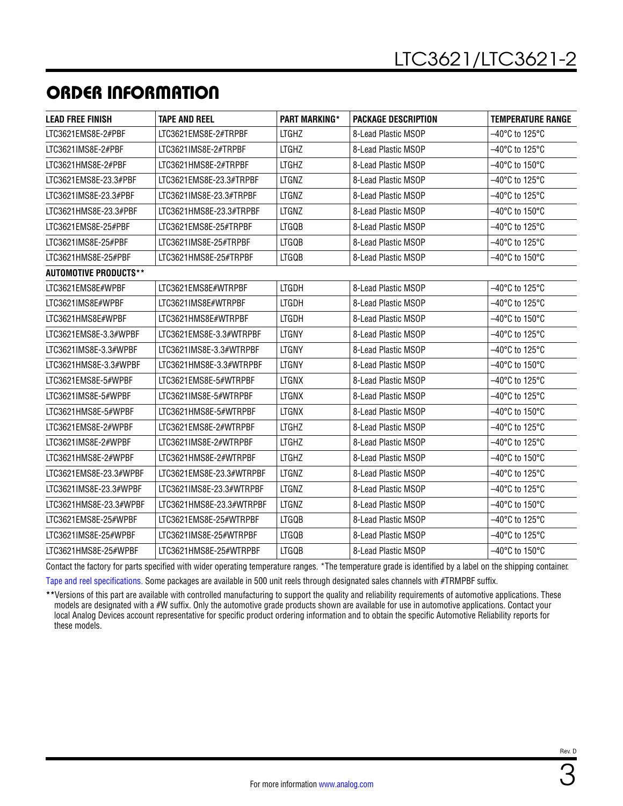### ORDER INFORMATION

| <b>LEAD FREE FINISH</b>      | <b>TAPE AND REEL</b>     | <b>PART MARKING*</b> | <b>PACKAGE DESCRIPTION</b> | <b>TEMPERATURE RANGE</b>            |
|------------------------------|--------------------------|----------------------|----------------------------|-------------------------------------|
| LTC3621EMS8E-2#PBF           | LTC3621EMS8E-2#TRPBF     | <b>LTGHZ</b>         | 8-Lead Plastic MSOP        | $-40^{\circ}$ C to 125 $^{\circ}$ C |
| LTC3621IMS8E-2#PBF           | LTC3621IMS8E-2#TRPBF     | <b>LTGHZ</b>         | 8-Lead Plastic MSOP        | $-40^{\circ}$ C to 125 $^{\circ}$ C |
| LTC3621HMS8E-2#PBF           | LTC3621HMS8E-2#TRPBF     | <b>LTGHZ</b>         | 8-Lead Plastic MSOP        | $-40^{\circ}$ C to 150 $^{\circ}$ C |
| LTC3621EMS8E-23.3#PBF        | LTC3621EMS8E-23.3#TRPBF  | <b>LTGNZ</b>         | 8-Lead Plastic MSOP        | $-40^{\circ}$ C to 125 $^{\circ}$ C |
| LTC3621IMS8E-23.3#PBF        | LTC3621IMS8E-23.3#TRPBF  | <b>LTGNZ</b>         | 8-Lead Plastic MSOP        | $-40^{\circ}$ C to 125 $^{\circ}$ C |
| LTC3621HMS8E-23.3#PBF        | LTC3621HMS8E-23.3#TRPBF  | <b>LTGNZ</b>         | 8-Lead Plastic MSOP        | –40°C to 150°C                      |
| LTC3621EMS8E-25#PBF          | LTC3621EMS8E-25#TRPBF    | <b>LTGQB</b>         | 8-Lead Plastic MSOP        | $-40^{\circ}$ C to 125 $^{\circ}$ C |
| LTC3621IMS8E-25#PBF          | LTC3621IMS8E-25#TRPBF    | <b>LTGQB</b>         | 8-Lead Plastic MSOP        | $-40^{\circ}$ C to 125 $^{\circ}$ C |
| LTC3621HMS8E-25#PBF          | LTC3621HMS8E-25#TRPBF    | <b>LTGQB</b>         | 8-Lead Plastic MSOP        | -40°C to 150°C                      |
| <b>AUTOMOTIVE PRODUCTS**</b> |                          |                      |                            |                                     |
| LTC3621EMS8E#WPBF            | LTC3621EMS8E#WTRPBF      | <b>LTGDH</b>         | 8-Lead Plastic MSOP        | $-40^{\circ}$ C to 125 $^{\circ}$ C |
| LTC3621IMS8E#WPBF            | LTC3621IMS8E#WTRPBF      | <b>LTGDH</b>         | 8-Lead Plastic MSOP        | $-40^{\circ}$ C to 125 $^{\circ}$ C |
| LTC3621HMS8E#WPBF            | LTC3621HMS8E#WTRPBF      | <b>LTGDH</b>         | 8-Lead Plastic MSOP        | $-40^{\circ}$ C to 150 $^{\circ}$ C |
| LTC3621EMS8E-3.3#WPBF        | LTC3621EMS8E-3.3#WTRPBF  | <b>LTGNY</b>         | 8-Lead Plastic MSOP        | -40°C to 125°C                      |
| LTC3621IMS8E-3.3#WPBF        | LTC3621IMS8E-3.3#WTRPBF  | <b>LTGNY</b>         | 8-Lead Plastic MSOP        | $-40^{\circ}$ C to 125 $^{\circ}$ C |
| LTC3621HMS8E-3.3#WPBF        | LTC3621HMS8E-3.3#WTRPBF  | <b>LTGNY</b>         | 8-Lead Plastic MSOP        | $-40^{\circ}$ C to 150 $^{\circ}$ C |
| LTC3621EMS8E-5#WPBF          | LTC3621EMS8E-5#WTRPBF    | <b>LTGNX</b>         | 8-Lead Plastic MSOP        | $-40^{\circ}$ C to 125 $^{\circ}$ C |
| LTC3621IMS8E-5#WPBF          | LTC3621IMS8E-5#WTRPBF    | <b>LTGNX</b>         | 8-Lead Plastic MSOP        | $-40^{\circ}$ C to 125 $^{\circ}$ C |
| LTC3621HMS8E-5#WPBF          | LTC3621HMS8E-5#WTRPBF    | <b>LTGNX</b>         | 8-Lead Plastic MSOP        | $-40^{\circ}$ C to 150 $^{\circ}$ C |
| LTC3621EMS8E-2#WPBF          | LTC3621EMS8E-2#WTRPBF    | <b>LTGHZ</b>         | 8-Lead Plastic MSOP        | –40°C to 125°C                      |
| LTC3621IMS8E-2#WPBF          | LTC3621IMS8E-2#WTRPBF    | <b>LTGHZ</b>         | 8-Lead Plastic MSOP        | $-40^{\circ}$ C to 125 $^{\circ}$ C |
| LTC3621HMS8E-2#WPBF          | LTC3621HMS8E-2#WTRPBF    | <b>LTGHZ</b>         | 8-Lead Plastic MSOP        | $-40^{\circ}$ C to 150 $^{\circ}$ C |
| LTC3621EMS8E-23.3#WPBF       | LTC3621EMS8E-23.3#WTRPBF | <b>LTGNZ</b>         | 8-Lead Plastic MSOP        | $-40^{\circ}$ C to 125 $^{\circ}$ C |
| LTC3621IMS8E-23.3#WPBF       | LTC3621IMS8E-23.3#WTRPBF | <b>LTGNZ</b>         | 8-Lead Plastic MSOP        | $-40^{\circ}$ C to 125 $^{\circ}$ C |
| LTC3621HMS8E-23.3#WPBF       | LTC3621HMS8E-23.3#WTRPBF | <b>LTGNZ</b>         | 8-Lead Plastic MSOP        | $-40^{\circ}$ C to 150 $^{\circ}$ C |
| LTC3621EMS8E-25#WPBF         | LTC3621EMS8E-25#WTRPBF   | <b>LTGQB</b>         | 8-Lead Plastic MSOP        | -40°C to 125°C                      |
| LTC3621IMS8E-25#WPBF         | LTC3621IMS8E-25#WTRPBF   | <b>LTGQB</b>         | 8-Lead Plastic MSOP        | $-40^{\circ}$ C to 125 $^{\circ}$ C |
| LTC3621HMS8E-25#WPBF         | LTC3621HMS8E-25#WTRPBF   | <b>LTGQB</b>         | 8-Lead Plastic MSOP        | $-40^{\circ}$ C to 150 $^{\circ}$ C |

Contact the factory for parts specified with wider operating temperature ranges. \*The temperature grade is identified by a label on the shipping container.

[Tape and reel specifications](https://www.analog.com/media/en/package-pcb-resources/package/tape-reel-rev-n.pdf). Some packages are available in 500 unit reels through designated sales channels with #TRMPBF suffix.

**\*\***Versions of this part are available with controlled manufacturing to support the quality and reliability requirements of automotive applications. These models are designated with a #W suffix. Only the automotive grade products shown are available for use in automotive applications. Contact your local Analog Devices account representative for specific product ordering information and to obtain the specific Automotive Reliability reports for these models.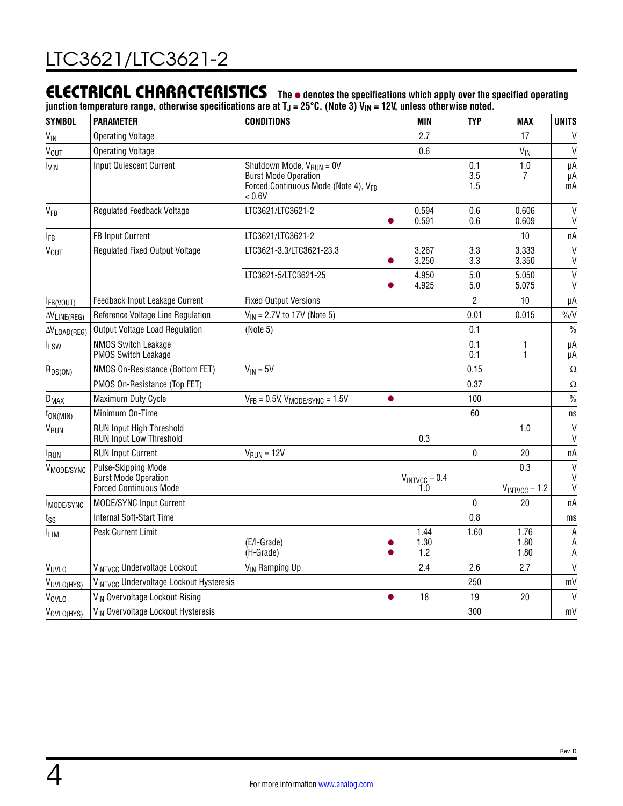### ELECTRICAL CHARACTERISTICS The  $\bullet$  denotes the specifications which apply over the specified operating

junction temperature range, otherwise specifications are at T<sub>J</sub> = 25°C. (Note 3) V<sub>IN</sub> = 12V, unless otherwise noted.

| <b>SYMBOL</b>                 | <b>PARAMETER</b>                                                                    | <b>CONDITIONS</b>                                                                                                                 |                | MIN                       | <b>TYP</b>        | <b>MAX</b>                | <b>UNITS</b>                      |
|-------------------------------|-------------------------------------------------------------------------------------|-----------------------------------------------------------------------------------------------------------------------------------|----------------|---------------------------|-------------------|---------------------------|-----------------------------------|
| $V_{\text{IN}}$               | <b>Operating Voltage</b>                                                            |                                                                                                                                   |                | 2.7                       |                   | 17                        | $\mathsf{V}$                      |
| <b>V<sub>OUT</sub></b>        | <b>Operating Voltage</b>                                                            |                                                                                                                                   |                | 0.6                       |                   | $V_{\text{IN}}$           | $\mathsf{V}$                      |
| $I_{VIN}$                     | <b>Input Quiescent Current</b>                                                      | Shutdown Mode, $V_{\text{RUN}} = 0V$<br><b>Burst Mode Operation</b><br>Forced Continuous Mode (Note 4), V <sub>FB</sub><br>< 0.6V |                |                           | 0.1<br>3.5<br>1.5 | 1.0<br>7                  | μA<br>μA<br>$\overline{m}A$       |
| VFB                           | <b>Regulated Feedback Voltage</b>                                                   | LTC3621/LTC3621-2                                                                                                                 | $\bullet$      | 0.594<br>0.591            | 0.6<br>0.6        | 0.606<br>0.609            | $\mathsf{V}$<br>$\mathsf{V}$      |
| <b>IFB</b>                    | FB Input Current                                                                    | LTC3621/LTC3621-2                                                                                                                 |                |                           |                   | 10                        | пA                                |
| <b>V<sub>OUT</sub></b>        | <b>Regulated Fixed Output Voltage</b>                                               | LTC3621-3.3/LTC3621-23.3                                                                                                          |                | 3.267<br>3.250            | 3.3<br>3.3        | 3.333<br>3.350            | $\mathsf{V}$<br>$\mathsf{V}$      |
|                               |                                                                                     | LTC3621-5/LTC3621-25                                                                                                              |                | 4.950<br>4.925            | 5.0<br>5.0        | 5.050<br>5.075            | $\mathsf{V}$<br>$\mathsf{V}$      |
| FB(VOUT)                      | Feedback Input Leakage Current                                                      | <b>Fixed Output Versions</b>                                                                                                      |                |                           | $\overline{2}$    | 10                        | μA                                |
| $\Delta V_{LINE(REG)}$        | Reference Voltage Line Regulation                                                   | $V_{IN}$ = 2.7V to 17V (Note 5)                                                                                                   |                |                           | 0.01              | 0.015                     | $\%N$                             |
| $\Delta V_{\text{LOAD(REG)}}$ | Output Voltage Load Regulation                                                      | (Note 5)                                                                                                                          |                |                           | 0.1               |                           | $\%$                              |
| $I_{LSW}$                     | <b>NMOS Switch Leakage</b><br><b>PMOS Switch Leakage</b>                            |                                                                                                                                   |                |                           | 0.1<br>0.1        | 1<br>1                    | μA<br>μA                          |
| $R_{DS(ON)}$                  | NMOS On-Resistance (Bottom FET)                                                     | $V_{IN} = 5V$                                                                                                                     |                |                           | 0.15              |                           | $\Omega$                          |
|                               | PMOS On-Resistance (Top FET)                                                        |                                                                                                                                   |                |                           | 0.37              |                           | Ω                                 |
| $D_{MAX}$                     | Maximum Duty Cycle                                                                  | $V_{FB} = 0.5V$ , $V_{MODE/SYNC} = 1.5V$                                                                                          | $\bullet$      |                           | 100               |                           | $\frac{0}{0}$                     |
| $t_{ON(MIN)}$                 | Minimum On-Time                                                                     |                                                                                                                                   |                |                           | 60                |                           | ns                                |
| V <sub>RUN</sub>              | <b>RUN Input High Threshold</b><br><b>RUN Input Low Threshold</b>                   |                                                                                                                                   |                | 0.3                       |                   | 1.0                       | $\mathsf{V}$<br>$\mathsf{V}$      |
| <b>I</b> RUN                  | <b>RUN Input Current</b>                                                            | $VRUN = 12V$                                                                                                                      |                |                           | $\pmb{0}$         | 20                        | nA                                |
| V <sub>MODE/SYNC</sub>        | Pulse-Skipping Mode<br><b>Burst Mode Operation</b><br><b>Forced Continuous Mode</b> |                                                                                                                                   |                | $V_{INTVCC} - 0.4$<br>1.0 |                   | 0.3<br>$V_{INTVCC} - 1.2$ | $\mathsf{V}$<br>$\mathsf{V}$<br>V |
| MODE/SYNC                     | MODE/SYNC Input Current                                                             |                                                                                                                                   |                |                           | $\Omega$          | 20                        | пA                                |
| tss                           | <b>Internal Soft-Start Time</b>                                                     |                                                                                                                                   |                |                           | 0.8               |                           | ms                                |
| I <sub>LIM</sub>              | Peak Current Limit                                                                  | (E/I-Grade)<br>(H-Grade)                                                                                                          | $\bullet$<br>0 | 1.44<br>1.30<br>1.2       | 1.60              | 1.76<br>1.80<br>1.80      | A<br>A<br>Α                       |
| VUVLO                         | VINTVCC Undervoltage Lockout                                                        | V <sub>IN</sub> Ramping Up                                                                                                        |                | 2.4                       | 2.6               | 2.7                       | $\mathsf{V}$                      |
| VUVLO(HYS)                    | VINTVCC Undervoltage Lockout Hysteresis                                             |                                                                                                                                   |                |                           | 250               |                           | mV                                |
| VOVLO                         | V <sub>IN</sub> Overvoltage Lockout Rising                                          |                                                                                                                                   | $\bullet$      | 18                        | 19                | 20                        | $\mathsf{V}$                      |
| VOVLO(HYS)                    | V <sub>IN</sub> Overvoltage Lockout Hysteresis                                      |                                                                                                                                   |                |                           | 300               |                           | mV                                |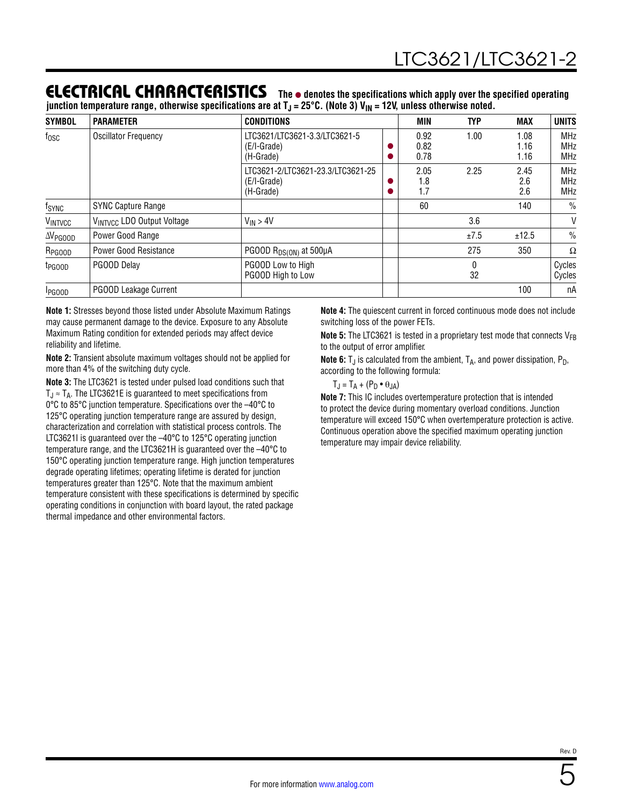### ELECTRICAL CHARACTERISTICS The  $\bullet$  denotes the specifications which apply over the specified operating

junction temperature range, otherwise specifications are at T<sub>J</sub> = 25°C. (Note 3) V<sub>IN</sub> = 12V, unless otherwise noted.

| <b>SYMBOL</b>      | <b>PARAMETER</b>             | <b>CONDITIONS</b>                                             | MIN                  | <b>TYP</b> | <b>MAX</b>           | <b>UNITS</b>                           |
|--------------------|------------------------------|---------------------------------------------------------------|----------------------|------------|----------------------|----------------------------------------|
| $f_{\rm OSC}$      | <b>Oscillator Frequency</b>  | LTC3621/LTC3621-3.3/LTC3621-5<br>(E/I-Grade)<br>(H-Grade)     | 0.92<br>0.82<br>0.78 | 1.00       | 1.08<br>1.16<br>1.16 | <b>MHz</b><br><b>MHz</b><br><b>MHz</b> |
|                    |                              | LTC3621-2/LTC3621-23.3/LTC3621-25<br>(E/I-Grade)<br>(H-Grade) | 2.05<br>1.8<br>1.7   | 2.25       | 2.45<br>2.6<br>2.6   | <b>MHz</b><br><b>MHz</b><br><b>MHz</b> |
| f <sub>SYNC</sub>  | <b>SYNC Capture Range</b>    |                                                               | 60                   |            | 140                  | $\frac{0}{0}$                          |
| VINTVCC            | VINTVCC LDO Output Voltage   | $V_{IN}$ > 4V                                                 |                      | 3.6        |                      | V                                      |
| $\Delta V_{PGOOD}$ | Power Good Range             |                                                               |                      | ±7.5       | ±12.5                | $\frac{0}{0}$                          |
| R <sub>PGOOD</sub> | <b>Power Good Resistance</b> | PGOOD $R_{DS(ON)}$ at 500µA                                   |                      | 275        | 350                  | Ω                                      |
| t <sub>PGOOD</sub> | PGOOD Delay                  | PGOOD Low to High<br>PGOOD High to Low                        |                      | 0<br>32    |                      | Cycles<br>Cycles                       |
| <b>I</b> PGOOD     | <b>PGOOD Leakage Current</b> |                                                               |                      |            | 100                  | пA                                     |

**Note 1:** Stresses beyond those listed under [Absolute Maximum Ratings](#page-1-0)  may cause permanent damage to the device. Exposure to any Absolute Maximum Rating condition for extended periods may affect device reliability and lifetime.

**Note 2:** Transient absolute maximum voltages should not be applied for more than 4% of the switching duty cycle.

**Note 3:** The LTC3621 is tested under pulsed load conditions such that  $T_J \approx T_A$ . The LTC3621E is guaranteed to meet specifications from 0°C to 85°C junction temperature. Specifications over the –40°C to 125°C operating junction temperature range are assured by design, characterization and correlation with statistical process controls. The LTC3621I is guaranteed over the –40°C to 125°C operating junction temperature range, and the LTC3621H is guaranteed over the –40°C to 150°C operating junction temperature range. High junction temperatures degrade operating lifetimes; operating lifetime is derated for junction temperatures greater than 125°C. Note that the maximum ambient temperature consistent with these specifications is determined by specific operating conditions in conjunction with board layout, the rated package thermal impedance and other environmental factors.

**Note 4:** The quiescent current in forced continuous mode does not include switching loss of the power FETs.

**Note 5:** The LTC3621 is tested in a proprietary test mode that connects V<sub>FB</sub> to the output of error amplifier.

**Note 6:** T<sub>J</sub> is calculated from the ambient, T<sub>A</sub>, and power dissipation, P<sub>D</sub>, according to the following formula:

 $T_J = T_A + (P_D \bullet \theta_{JA})$ 

**Note 7:** This IC includes overtemperature protection that is intended to protect the device during momentary overload conditions. Junction temperature will exceed 150°C when overtemperature protection is active. Continuous operation above the specified maximum operating junction temperature may impair device reliability.

5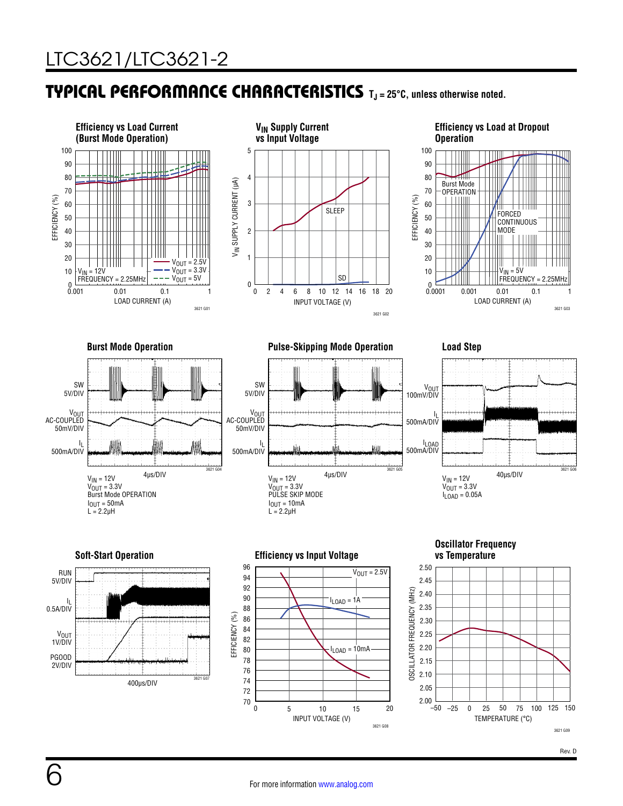### <span id="page-5-0"></span>TYPICAL PERFORMANCE CHARACTERISTICS **TJ = 25°C, unless otherwise noted.**

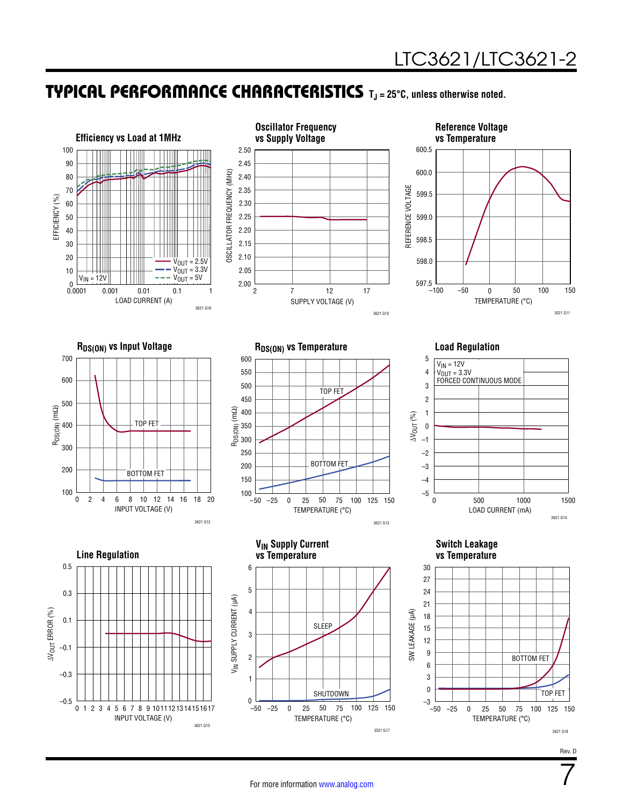7

### TYPICAL PERFORMANCE CHARACTERISTICS **TJ = 25°C, unless otherwise noted.**

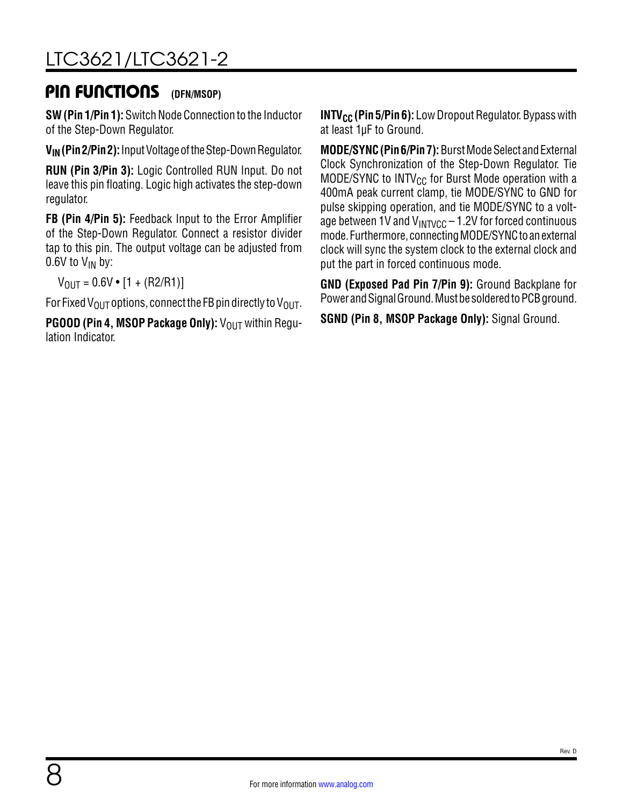# [LTC3621/LTC3621-2](https://www.analog.com/LTC3621?doc=LTC3621-3621-2.pdf)

### PIN FUNCTIONS **(DFN/MSOP)**

**SW (Pin 1/Pin 1):** Switch Node Connection to the Inductor of the Step-Down Regulator.

**VIN (Pin 2/Pin 2):** Input Voltage of the Step-Down Regulator.

**RUN (Pin 3/Pin 3):** Logic Controlled RUN Input. Do not leave this pin floating. Logic high activates the step-down regulator.

**FB (Pin 4/Pin 5):** Feedback Input to the Error Amplifier of the Step-Down Regulator. Connect a resistor divider tap to this pin. The output voltage can be adjusted from 0.6V to  $V_{IN}$  by:

 $V_{\text{OUT}} = 0.6V \cdot [1 + (R2/R1)]$ 

For Fixed V<sub>OUT</sub> options, connect the FB pin directly to V<sub>OUT</sub>.

**PGOOD (Pin 4, MSOP Package Only):** V<sub>OUT</sub> within Regulation Indicator.

**INTV<sub>CC</sub>** (Pin 5/Pin 6): Low Dropout Regulator. Bypass with at least 1µF to Ground.

**MODE/SYNC (Pin 6/Pin 7):** Burst Mode Select and External Clock Synchronization of the Step-Down Regulator. Tie MODE/SYNC to  $INTV_{CC}$  for Burst Mode operation with a 400mA peak current clamp, tie MODE/SYNC to GND for pulse skipping operation, and tie MODE/SYNC to a voltage between 1V and  $V_{\text{INTVCC}} - 1.2V$  for forced continuous mode. Furthermore, connecting MODE/SYNC to an external clock will sync the system clock to the external clock and put the part in forced continuous mode.

**GND (Exposed Pad Pin 7/Pin 9):** Ground Backplane for Power and Signal Ground. Must be soldered to PCB ground.

**SGND (Pin 8, MSOP Package Only):** Signal Ground.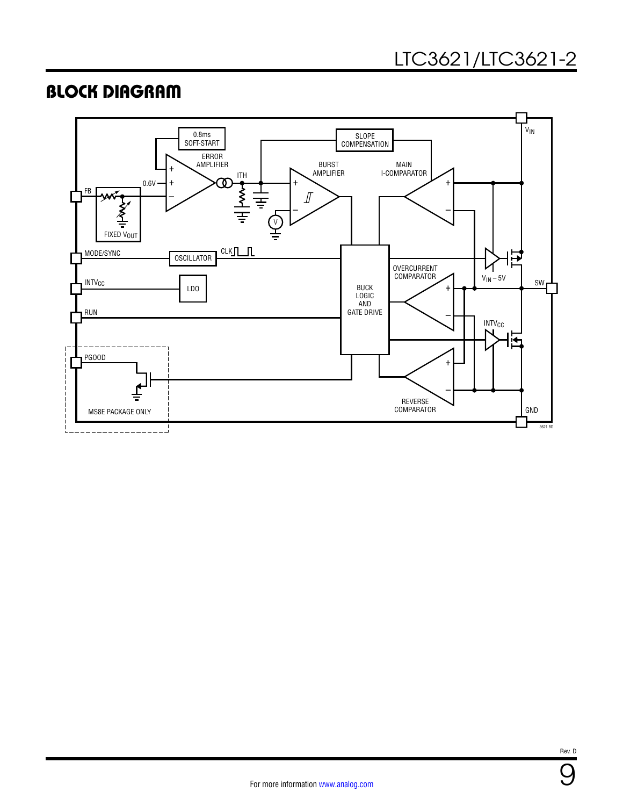### BLOCK DIAGRAM



9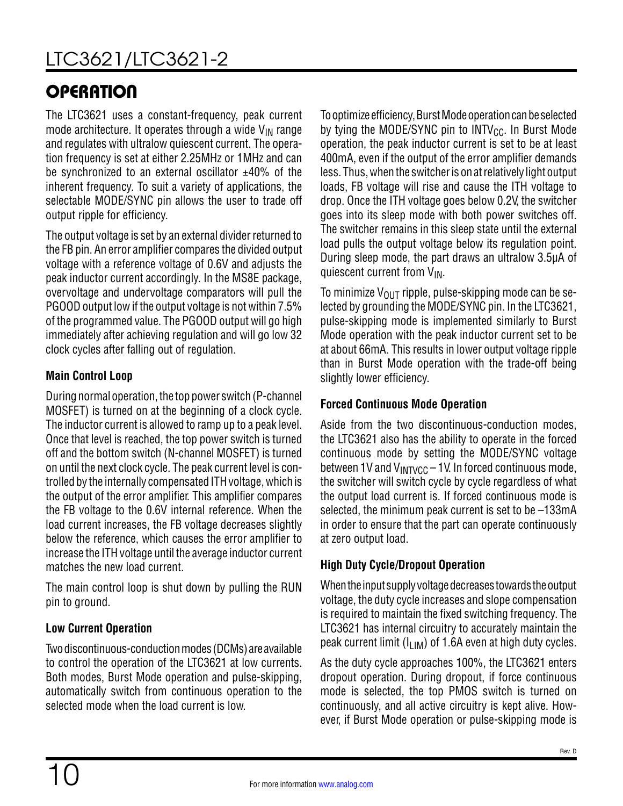# **OPERATION**

The LTC3621 uses a constant-frequency, peak current mode architecture. It operates through a wide  $V_{IN}$  range and regulates with ultralow quiescent current. The operation frequency is set at either 2.25MHz or 1MHz and can be synchronized to an external oscillator  $±40\%$  of the inherent frequency. To suit a variety of applications, the selectable MODE/SYNC pin allows the user to trade off output ripple for efficiency.

The output voltage is set by an external divider returned to the FB pin. An error amplifier compares the divided output voltage with a reference voltage of 0.6V and adjusts the peak inductor current accordingly. In the MS8E package, overvoltage and undervoltage comparators will pull the PGOOD output low if the output voltage is not within 7.5% of the programmed value. The PGOOD output will go high immediately after achieving regulation and will go low 32 clock cycles after falling out of regulation.

#### **Main Control Loop**

During normal operation, the top power switch (P-channel MOSFET) is turned on at the beginning of a clock cycle. The inductor current is allowed to ramp up to a peak level. Once that level is reached, the top power switch is turned off and the bottom switch (N-channel MOSFET) is turned on until the next clock cycle. The peak current level is controlled by the internally compensated ITH voltage, which is the output of the error amplifier. This amplifier compares the FB voltage to the 0.6V internal reference. When the load current increases, the FB voltage decreases slightly below the reference, which causes the error amplifier to increase the ITH voltage until the average inductor current matches the new load current.

The main control loop is shut down by pulling the RUN pin to ground.

### **Low Current Operation**

Two discontinuous-conduction modes (DCMs) are available to control the operation of the LTC3621 at low currents. Both modes, Burst Mode operation and pulse-skipping, automatically switch from continuous operation to the selected mode when the load current is low.

To optimize efficiency, Burst Mode operation can be selected by tying the MODE/SYNC pin to  $INTV_{CC}$ . In Burst Mode operation, the peak inductor current is set to be at least 400mA, even if the output of the error amplifier demands less. Thus, when the switcher is on at relatively light output loads, FB voltage will rise and cause the ITH voltage to drop. Once the ITH voltage goes below 0.2V, the switcher goes into its sleep mode with both power switches off. The switcher remains in this sleep state until the external load pulls the output voltage below its regulation point. During sleep mode, the part draws an ultralow 3.5µA of quiescent current from  $V_{IN}$ .

To minimize  $V_{\text{OUT}}$  ripple, pulse-skipping mode can be selected by grounding the MODE/SYNC pin. In the LTC3621, pulse-skipping mode is implemented similarly to Burst Mode operation with the peak inductor current set to be at about 66mA. This results in lower output voltage ripple than in Burst Mode operation with the trade-off being slightly lower efficiency.

#### **Forced Continuous Mode Operation**

Aside from the two discontinuous-conduction modes, the LTC3621 also has the ability to operate in the forced continuous mode by setting the MODE/SYNC voltage between 1V and  $V_{\text{INTVCC}}$  – 1V. In forced continuous mode, the switcher will switch cycle by cycle regardless of what the output load current is. If forced continuous mode is selected, the minimum peak current is set to be –133mA in order to ensure that the part can operate continuously at zero output load.

### **High Duty Cycle/Dropout Operation**

When the input supply voltage decreases towards the output voltage, the duty cycle increases and slope compensation is required to maintain the fixed switching frequency. The LTC3621 has internal circuitry to accurately maintain the peak current limit ( $I_{LIM}$ ) of 1.6A even at high duty cycles.

As the duty cycle approaches 100%, the LTC3621 enters dropout operation. During dropout, if force continuous mode is selected, the top PMOS switch is turned on continuously, and all active circuitry is kept alive. However, if Burst Mode operation or pulse-skipping mode is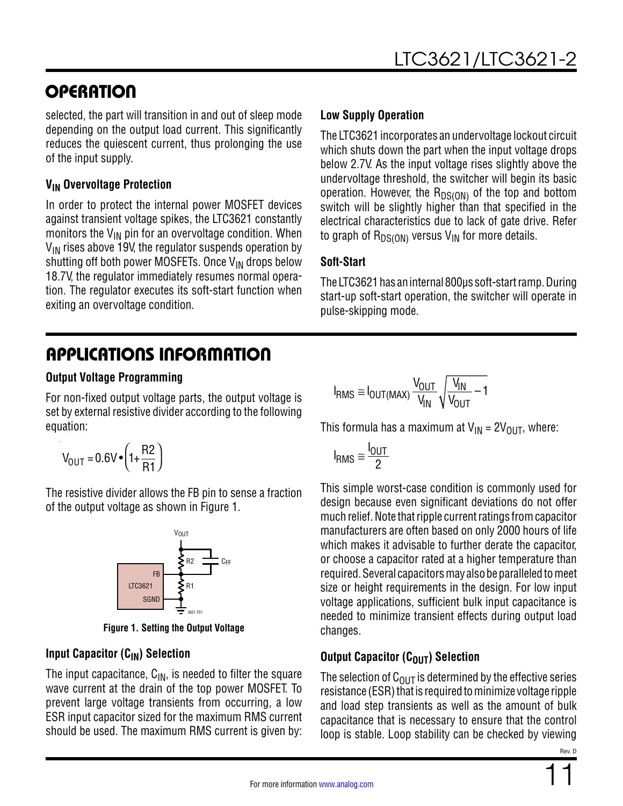### **OPERATION**

selected, the part will transition in and out of sleep mode depending on the output load current. This significantly reduces the quiescent current, thus prolonging the use of the input supply.

#### **VIN Overvoltage Protection**

In order to protect the internal power MOSFET devices against transient voltage spikes, the LTC3621 constantly monitors the  $V_{IN}$  pin for an overvoltage condition. When  $V_{IN}$  rises above 19V, the regulator suspends operation by shutting off both power MOSFETs. Once  $V_{IN}$  drops below 18.7V, the regulator immediately resumes normal operation. The regulator executes its soft-start function when exiting an overvoltage condition.

#### **Low Supply Operation**

The LTC3621 incorporates an undervoltage lockout circuit which shuts down the part when the input voltage drops below 2.7V. As the input voltage rises slightly above the undervoltage threshold, the switcher will begin its basic operation. However, the  $R_{DS(ON)}$  of the top and bottom switch will be slightly higher than that specified in the electrical characteristics due to lack of gate drive. Refer to graph of  $R_{DS(ON)}$  versus V<sub>IN</sub> for more details.

#### **Soft-Start**

The LTC3621 has an internal 800µs soft-start ramp. During start-up soft-start operation, the switcher will operate in pulse-skipping mode.

# APPLICATIONS INFORMATION

#### **Output Voltage Programming**

For non-fixed output voltage parts, the output voltage is set by external resistive divider according to the following equation:

$$
V_{\text{OUT}} = 0.6 V \cdot \left(1 + \frac{R2}{R1}\right)
$$

The resistive divider allows the FB pin to sense a fraction of the output voltage as shown in [Figure 1.](#page-10-0)



**Figure 1. Setting the Output Voltage**

#### **Input Capacitor (C<sub>IN</sub>) Selection**

The input capacitance,  $C_{IN}$ , is needed to filter the square wave current at the drain of the top power MOSFET. To prevent large voltage transients from occurring, a low ESR input capacitor sized for the maximum RMS current should be used. The maximum RMS current is given by:

$$
I_{RMS} \cong I_{OUT(MAX)} \frac{V_{OUT}}{V_{IN}} \sqrt{\frac{V_{IN}}{V_{OUT}} - 1}
$$

This formula has a maximum at  $V_{IN} = 2V_{OUT}$ , where:

$$
I_{RMS} \cong \frac{I_{OUT}}{2}
$$

This simple worst-case condition is commonly used for design because even significant deviations do not offer much relief. Note that ripple current ratings from capacitor manufacturers are often based on only 2000 hours of life which makes it advisable to further derate the capacitor, or choose a capacitor rated at a higher temperature than required. Several capacitors may also be paralleled to meet size or height requirements in the design. For low input voltage applications, sufficient bulk input capacitance is needed to minimize transient effects during output load changes.

#### <span id="page-10-0"></span>**Output Capacitor (COUT) Selection**

The selection of  $C<sub>OMIT</sub>$  is determined by the effective series resistance (ESR) that is required to minimize voltage ripple and load step transients as well as the amount of bulk capacitance that is necessary to ensure that the control loop is stable. Loop stability can be checked by viewing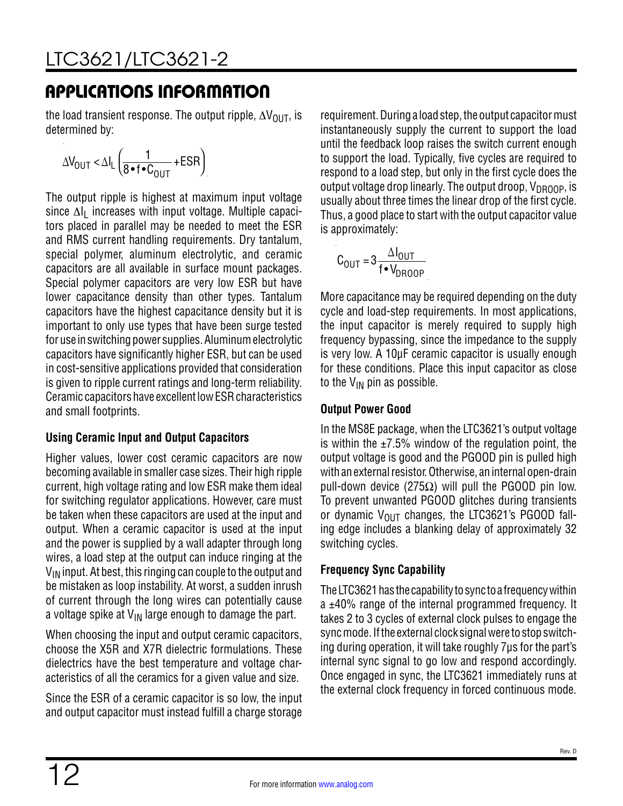the load transient response. The output ripple,  $\Delta V_{\text{OUT}}$ , is determined by:

$$
\Delta V_{\text{OUT}} < \Delta I_{L} \left( \frac{1}{8 \cdot f \cdot C_{\text{OUT}}} + \text{ESR} \right)
$$

The output ripple is highest at maximum input voltage since  $\Delta I_1$  increases with input voltage. Multiple capacitors placed in parallel may be needed to meet the ESR and RMS current handling requirements. Dry tantalum, special polymer, aluminum electrolytic, and ceramic capacitors are all available in surface mount packages. Special polymer capacitors are very low ESR but have lower capacitance density than other types. Tantalum capacitors have the highest capacitance density but it is important to only use types that have been surge tested for use in switching power supplies. Aluminum electrolytic capacitors have significantly higher ESR, but can be used in cost-sensitive applications provided that consideration is given to ripple current ratings and long-term reliability. Ceramic capacitors have excellent low ESR characteristics and small footprints.

#### **Using Ceramic Input and Output Capacitors**

Higher values, lower cost ceramic capacitors are now becoming available in smaller case sizes. Their high ripple current, high voltage rating and low ESR make them ideal for switching regulator applications. However, care must be taken when these capacitors are used at the input and output. When a ceramic capacitor is used at the input and the power is supplied by a wall adapter through long wires, a load step at the output can induce ringing at the  $V_{IN}$  input. At best, this ringing can couple to the output and be mistaken as loop instability. At worst, a sudden inrush of current through the long wires can potentially cause a voltage spike at  $V_{\text{IN}}$  large enough to damage the part.

When choosing the input and output ceramic capacitors, choose the X5R and X7R dielectric formulations. These dielectrics have the best temperature and voltage characteristics of all the ceramics for a given value and size.

Since the ESR of a ceramic capacitor is so low, the input and output capacitor must instead fulfill a charge storage requirement. During a load step, the output capacitor must instantaneously supply the current to support the load until the feedback loop raises the switch current enough to support the load. Typically, five cycles are required to respond to a load step, but only in the first cycle does the output voltage drop linearly. The output droop,  $V_{DROOP}$ , is usually about three times the linear drop of the first cycle. Thus, a good place to start with the output capacitor value is approximately:

$$
C_{\text{OUT}} = 3 \frac{\Delta I_{\text{OUT}}}{f \cdot V_{\text{DROOP}}}
$$

More capacitance may be required depending on the duty cycle and load-step requirements. In most applications, the input capacitor is merely required to supply high frequency bypassing, since the impedance to the supply is very low. A 10μF ceramic capacitor is usually enough for these conditions. Place this input capacitor as close to the  $V_{IN}$  pin as possible.

#### **Output Power Good**

In the MS8E package, when the LTC3621's output voltage is within the  $\pm$ 7.5% window of the regulation point, the output voltage is good and the PGOOD pin is pulled high with an external resistor. Otherwise, an internal open-drain pull-down device (275 $Ω$ ) will pull the PGOOD pin low. To prevent unwanted PGOOD glitches during transients or dynamic  $V_{OIII}$  changes, the LTC3621's PGOOD falling edge includes a blanking delay of approximately 32 switching cycles.

### **Frequency Sync Capability**

The LTC3621 has the capability to sync to a frequency within a ±40% range of the internal programmed frequency. It takes 2 to 3 cycles of external clock pulses to engage the sync mode. If the external clock signal were to stop switching during operation, it will take roughly 7μs for the part's internal sync signal to go low and respond accordingly. Once engaged in sync, the LTC3621 immediately runs at the external clock frequency in forced continuous mode.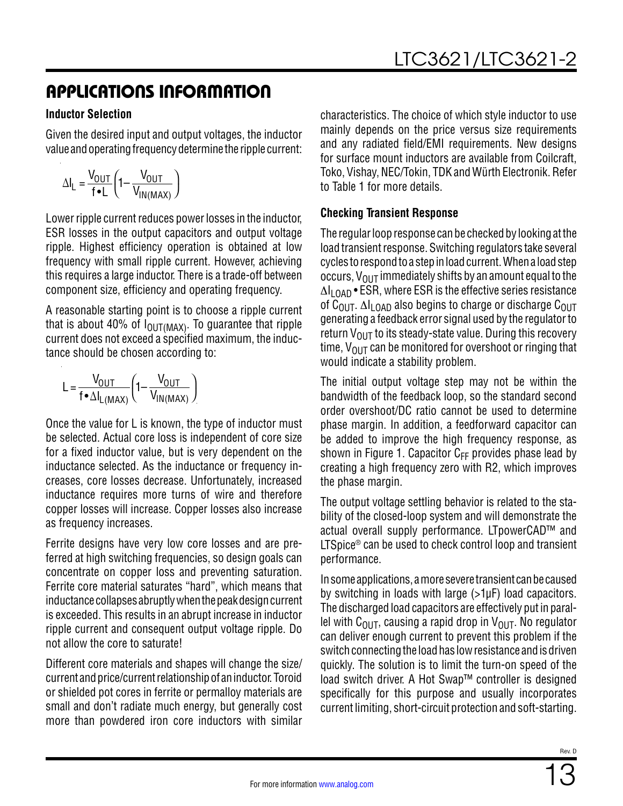#### **Inductor Selection**

Given the desired input and output voltages, the inductor value and operating frequency determine the ripple current:

$$
\Delta I_{L} = \frac{V_{OUT}}{f \cdot L} \left( 1 - \frac{V_{OUT}}{V_{IN(MAX)}} \right)
$$

Lower ripple current reduces power losses in the inductor, ESR losses in the output capacitors and output voltage ripple. Highest efficiency operation is obtained at low frequency with small ripple current. However, achieving this requires a large inductor. There is a trade-off between component size, efficiency and operating frequency.

A reasonable starting point is to choose a ripple current that is about 40% of  $I_{\text{OUT} (MAX)}$ . To guarantee that ripple current does not exceed a specified maximum, the inductance should be chosen according to:

$$
L = \frac{V_{OUT}}{f \cdot \Delta I_{L(MAX)}} \left(1 - \frac{V_{OUT}}{V_{IN(MAX)}}\right)
$$

Once the value for L is known, the type of inductor must be selected. Actual core loss is independent of core size for a fixed inductor value, but is very dependent on the inductance selected. As the inductance or frequency increases, core losses decrease. Unfortunately, increased inductance requires more turns of wire and therefore copper losses will increase. Copper losses also increase as frequency increases.

Ferrite designs have very low core losses and are preferred at high switching frequencies, so design goals can concentrate on copper loss and preventing saturation. Ferrite core material saturates "hard", which means that inductance collapses abruptly when the peak design current is exceeded. This results in an abrupt increase in inductor ripple current and consequent output voltage ripple. Do not allow the core to saturate!

Different core materials and shapes will change the size/ current and price/current relationship of an inductor. Toroid or shielded pot cores in ferrite or permalloy materials are small and don't radiate much energy, but generally cost more than powdered iron core inductors with similar

characteristics. The choice of which style inductor to use mainly depends on the price versus size requirements and any radiated field/EMI requirements. New designs for surface mount inductors are available from Coilcraft, Toko, Vishay, NEC/Tokin, TDK and Würth Electronik. Refer to [Table 1](#page-13-0) for more details.

#### **Checking Transient Response**

The regular loop response can be checked by looking at the load transient response. Switching regulators take several cycles to respond to a step in load current. When a load step occurs,  $V_{OUT}$  immediately shifts by an amount equal to the  $\Delta I_{\text{LOAD}}$  • ESR, where ESR is the effective series resistance of C<sub>OUT</sub>.  $\Delta I_{LOAD}$  also begins to charge or discharge C<sub>OUT</sub> generating a feedback error signal used by the regulator to return  $V_{OIII}$  to its steady-state value. During this recovery time,  $V_{\text{OUT}}$  can be monitored for overshoot or ringing that would indicate a stability problem.

The initial output voltage step may not be within the bandwidth of the feedback loop, so the standard second order overshoot/DC ratio cannot be used to determine phase margin. In addition, a feedforward capacitor can be added to improve the high frequency response, as shown in [Figure 1](#page-10-0). Capacitor  $C_{FF}$  provides phase lead by creating a high frequency zero with R2, which improves the phase margin.

The output voltage settling behavior is related to the stability of the closed-loop system and will demonstrate the actual overall supply performance. LTpowerCAD™ and LTSpice<sup>®</sup> can be used to check control loop and transient performance.

In some applications, a more severe transient can be caused by switching in loads with large (>1µF) load capacitors. The discharged load capacitors are effectively put in parallel with  $C<sub>OUT</sub>$ , causing a rapid drop in  $V<sub>OUT</sub>$ . No regulator can deliver enough current to prevent this problem if the switch connecting the load has low resistance and is driven quickly. The solution is to limit the turn-on speed of the load switch driver. A Hot Swap™ controller is designed specifically for this purpose and usually incorporates current limiting, short-circuit protection and soft-starting.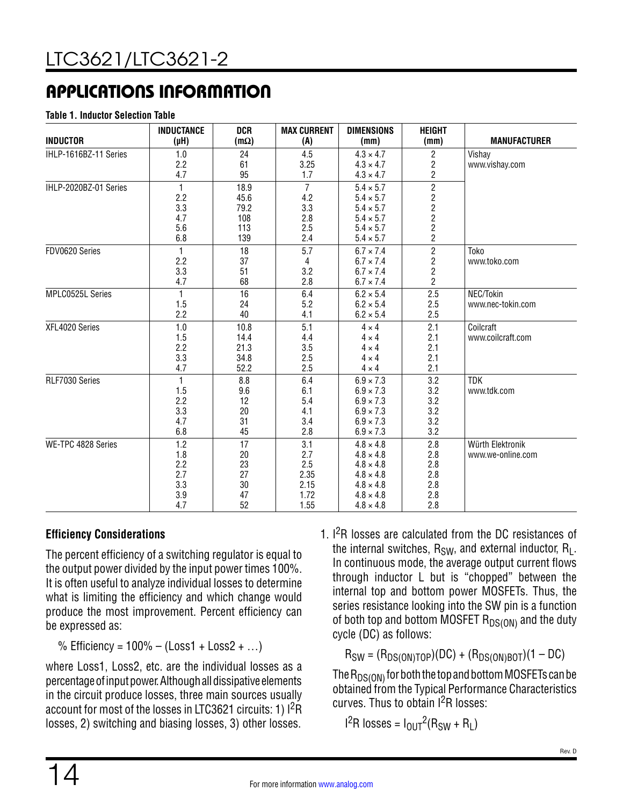#### <span id="page-13-0"></span>**Table 1. Inductor Selection Table**

| <b>INDUCTOR</b>       | <b>INDUCTANCE</b><br>$(\mu H)$ | <b>DCR</b><br>$(m\Omega)$ | <b>MAX CURRENT</b><br>(A) | <b>DIMENSIONS</b><br>(mm) | <b>HEIGHT</b><br>(mm)   | <b>MANUFACTURER</b> |
|-----------------------|--------------------------------|---------------------------|---------------------------|---------------------------|-------------------------|---------------------|
| IHLP-1616BZ-11 Series | 1.0                            | 24                        | 4.5                       | $4.3 \times 4.7$          | 2                       | Vishay              |
|                       | 2.2                            | 61                        | 3.25                      | $4.3 \times 4.7$          | $\frac{2}{2}$           | www.vishay.com      |
|                       | 4.7                            | 95                        | 1.7                       | $4.3 \times 4.7$          |                         |                     |
| IHLP-2020BZ-01 Series | 1                              | 18.9                      | $\overline{7}$            | $5.4 \times 5.7$          | $\overline{\mathbf{c}}$ |                     |
|                       | 2.2                            | 45.6                      | 4.2                       | $5.4 \times 5.7$          |                         |                     |
|                       | 3.3                            | 79.2                      | 3.3                       | $5.4 \times 5.7$          | $2222$<br>$222$         |                     |
|                       | 4.7                            | 108                       | 2.8                       | $5.4 \times 5.7$          |                         |                     |
|                       | 5.6                            | 113                       | 2.5                       | $5.4 \times 5.7$          |                         |                     |
|                       | 6.8                            | 139                       | 2.4                       | $5.4 \times 5.7$          |                         |                     |
| FDV0620 Series        |                                | 18                        | 5.7                       | $6.7 \times 7.4$          | $\overline{2}$          | Toko                |
|                       | 2.2                            | 37                        | 4                         | $6.7 \times 7.4$          | $\overline{\mathbf{c}}$ | www.toko.com        |
|                       | 3.3                            | 51                        | 3.2                       | $6.7 \times 7.4$          | $\overline{\mathbf{c}}$ |                     |
|                       | 4.7                            | 68                        | 2.8                       | $6.7 \times 7.4$          | $\overline{2}$          |                     |
| MPLC0525L Series      | 1                              | 16                        | 6.4                       | $6.2 \times 5.4$          | 2.5                     | NEC/Tokin           |
|                       | 1.5                            | 24                        | 5.2                       | $6.2 \times 5.4$          | 2.5                     | www.nec-tokin.com   |
|                       | 2.2                            | 40                        | 4.1                       | $6.2 \times 5.4$          | 2.5                     |                     |
| XFL4020 Series        | 1.0                            | 10.8                      | 5.1                       | $4 \times 4$              | 2.1                     | Coilcraft           |
|                       | 1.5                            | 14.4                      | 4.4                       | $4 \times 4$              | 2.1                     | www.coilcraft.com   |
|                       | 2.2                            | 21.3                      | 3.5                       | $4 \times 4$              | 2.1                     |                     |
|                       | 3.3                            | 34.8                      | 2.5                       | $4 \times 4$              | 2.1                     |                     |
|                       | 4.7                            | 52.2                      | 2.5                       | $4 \times 4$              | 2.1                     |                     |
| RLF7030 Series        | 1                              | 8.8                       | 6.4                       | $6.9 \times 7.3$          | 3.2                     | <b>TDK</b>          |
|                       | 1.5                            | 9.6                       | 6.1                       | $6.9 \times 7.3$          | 3.2                     | www.tdk.com         |
|                       | 2.2                            | 12                        | 5.4                       | $6.9 \times 7.3$          | 3.2                     |                     |
|                       | 3.3                            | 20                        | 4.1                       | $6.9 \times 7.3$          | 3.2                     |                     |
|                       | 4.7                            | 31                        | 3.4                       | $6.9 \times 7.3$          | 3.2                     |                     |
|                       | 6.8                            | 45                        | 2.8                       | $6.9 \times 7.3$          | 3.2                     |                     |
| WE-TPC 4828 Series    | 1.2                            | 17                        | 3.1                       | $4.8 \times 4.8$          | 2.8                     | Würth Elektronik    |
|                       | 1.8                            | 20                        | 2.7                       | $4.8 \times 4.8$          | 2.8                     | www.we-online.com   |
|                       | 2.2                            | 23                        | 2.5                       | $4.8 \times 4.8$          | 2.8                     |                     |
|                       | 2.7                            | 27                        | 2.35                      | $4.8 \times 4.8$          | 2.8                     |                     |
|                       | 3.3                            | 30                        | 2.15                      | $4.8 \times 4.8$          | 2.8                     |                     |
|                       | 3.9                            | 47                        | 1.72                      | $4.8 \times 4.8$          | 2.8                     |                     |
|                       | 4.7                            | 52                        | 1.55                      | $4.8 \times 4.8$          | 2.8                     |                     |

#### **Efficiency Considerations**

The percent efficiency of a switching regulator is equal to the output power divided by the input power times 100%. It is often useful to analyze individual losses to determine what is limiting the efficiency and which change would produce the most improvement. Percent efficiency can be expressed as:

% Efficiency =  $100\% - (Loss1 + Loss2 + ...)$ 

where Loss1, Loss2, etc. are the individual losses as a percentage of input power. Although all dissipative elements in the circuit produce losses, three main sources usually account for most of the losses in LTC3621 circuits: 1) I<sup>2</sup>R losses, 2) switching and biasing losses, 3) other losses.

1. I<sup>2</sup>R losses are calculated from the DC resistances of the internal switches,  $R_{SW}$ , and external inductor,  $R_{\text{L}}$ . In continuous mode, the average output current flows through inductor L but is "chopped" between the internal top and bottom power MOSFETs. Thus, the series resistance looking into the SW pin is a function of both top and bottom MOSFET  $R_{DS(ON)}$  and the duty cycle (DC) as follows:

 $R_{SW} = (R_{DS(ON)TOP})(DC) + (R_{DS(ON)BOT})(1 - DC)$ 

The  ${\sf R}_{{\sf DS}({\sf ON})}$  for both the top and bottom MOSFETs can be obtained from the [Typical Performance Characteristics](#page-5-0) curves. Thus to obtain I2R losses:

I<sup>2</sup>R losses = I<sub>OUT</sub><sup>2</sup>(R<sub>SW</sub> + R<sub>L</sub>)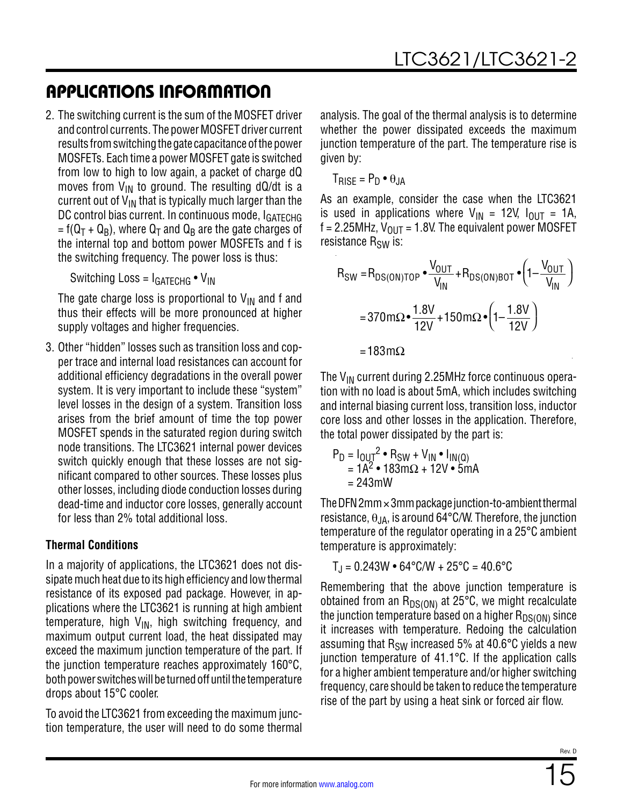2. The switching current is the sum of the MOSFET driver and control currents. The power MOSFET driver current results from switching the gate capacitance of the power MOSFETs. Each time a power MOSFET gate is switched from low to high to low again, a packet of charge dQ moves from  $V_{IN}$  to ground. The resulting dQ/dt is a current out of  $V_{IN}$  that is typically much larger than the DC control bias current. In continuous mode, IGATECHG =  $f(Q_T + Q_B)$ , where  $Q_T$  and  $Q_B$  are the gate charges of the internal top and bottom power MOSFETs and f is the switching frequency. The power loss is thus:

Switching Loss =  $I<sub>GATFCHG</sub> • V<sub>IN</sub>$ 

The gate charge loss is proportional to  $V_{IN}$  and f and thus their effects will be more pronounced at higher supply voltages and higher frequencies.

3. Other "hidden" losses such as transition loss and copper trace and internal load resistances can account for additional efficiency degradations in the overall power system. It is very important to include these "system" level losses in the design of a system. Transition loss arises from the brief amount of time the top power MOSFET spends in the saturated region during switch node transitions. The LTC3621 internal power devices switch quickly enough that these losses are not significant compared to other sources. These losses plus other losses, including diode conduction losses during dead-time and inductor core losses, generally account for less than 2% total additional loss.

### **Thermal Conditions**

In a majority of applications, the LTC3621 does not dissipate much heat due to its high efficiency and low thermal resistance of its exposed pad package. However, in applications where the LTC3621 is running at high ambient temperature, high  $V_{IN}$ , high switching frequency, and maximum output current load, the heat dissipated may exceed the maximum junction temperature of the part. If the junction temperature reaches approximately 160°C, both power switches will be turned off until the temperature drops about 15°C cooler.

To avoid the LTC3621 from exceeding the maximum junction temperature, the user will need to do some thermal analysis. The goal of the thermal analysis is to determine whether the power dissipated exceeds the maximum junction temperature of the part. The temperature rise is given by:

 $T_{\text{RISF}} = P_{D} \cdot \theta_{\text{J}A}$ 

As an example, consider the case when the LTC3621 is used in applications where  $V_{IN}$  = 12V,  $I_{OUIT}$  = 1A,  $f = 2.25$ MHz,  $V_{OUT} = 1.8V$ . The equivalent power MOSFET resistance R<sub>SW</sub> is:

$$
R_{SW} = R_{DS(ON)TOP} \cdot \frac{V_{OUT}}{V_{IN}} + R_{DS(ON)BOT} \cdot \left(1 - \frac{V_{OUT}}{V_{IN}}\right)
$$

$$
= 370 \text{ m}\Omega \cdot \frac{1.8V}{12V} + 150 \text{ m}\Omega \cdot \left(1 - \frac{1.8V}{12V}\right)
$$

$$
= 183 \text{ m}\Omega
$$

The  $V_{IN}$  current during 2.25MHz force continuous operation with no load is about 5mA, which includes switching and internal biasing current loss, transition loss, inductor core loss and other losses in the application. Therefore, the total power dissipated by the part is:

$$
P_{D} = I_{OUT}^{2} \cdot R_{SW} + V_{IN} \cdot I_{IN(Q)}
$$
  
= 1A<sup>2</sup> \cdot 183mΩ + 12V \cdot 5mA  
= 243mW

The DFN  $2mm \times 3mm$  package junction-to-ambient thermal resistance,  $\theta_{JA}$ , is around 64°C/W. Therefore, the junction temperature of the regulator operating in a 25°C ambient temperature is approximately:

$$
T_J = 0.243W \cdot 64^{\circ}C/W + 25^{\circ}C = 40.6^{\circ}C
$$

Remembering that the above junction temperature is obtained from an  $R_{DS(ON)}$  at 25°C, we might recalculate the junction temperature based on a higher  $R_{DS(ON)}$  since it increases with temperature. Redoing the calculation assuming that  $R_{SW}$  increased 5% at 40.6 $\degree$ C yields a new junction temperature of 41.1°C. If the application calls for a higher ambient temperature and/or higher switching frequency, care should be taken to reduce the temperature rise of the part by using a heat sink or forced air flow.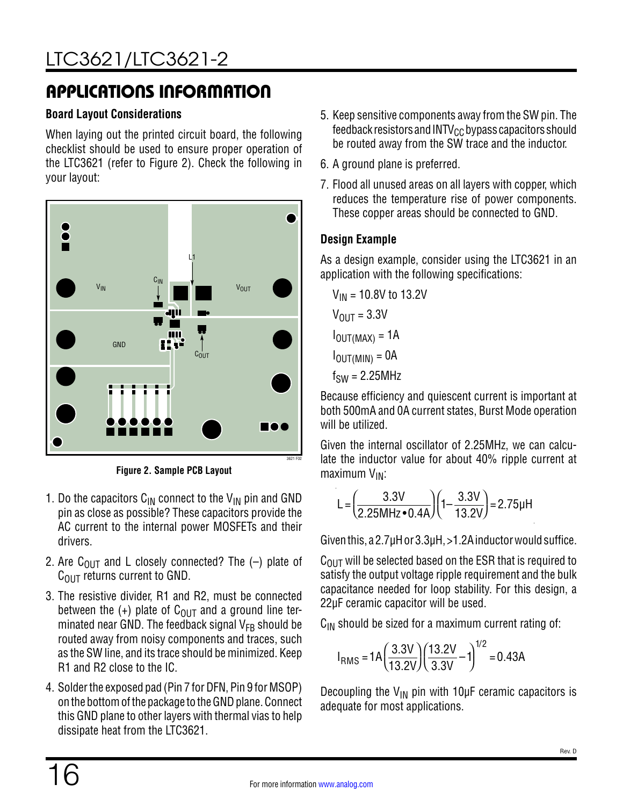#### **Board Layout Considerations**

When laying out the printed circuit board, the following checklist should be used to ensure proper operation of the LTC3621 (refer to [Figure 2](#page-15-0)). Check the following in your layout:



**Figure 2. Sample PCB Layout**

- 1. Do the capacitors  $C_{IN}$  connect to the  $V_{IN}$  pin and GND pin as close as possible? These capacitors provide the AC current to the internal power MOSFETs and their drivers.
- 2. Are C<sub>OUT</sub> and L closely connected? The  $(-)$  plate of  $C<sub>OUT</sub>$  returns current to GND.
- 3. The resistive divider, R1 and R2, must be connected between the  $(+)$  plate of C<sub>OUT</sub> and a ground line terminated near GND. The feedback signal  $V_{FB}$  should be routed away from noisy components and traces, such as the SW line, and its trace should be minimized. Keep R1 and R2 close to the IC.
- 4. Solder the exposed pad (Pin 7 for DFN, Pin 9 for MSOP) on the bottom of the package to the GND plane. Connect this GND plane to other layers with thermal vias to help dissipate heat from the LTC3621.
- 5. Keep sensitive components away from the SW pin. The feedback resistors and  $INTV_{CC}$  bypass capacitors should be routed away from the SW trace and the inductor.
- 6. A ground plane is preferred.
- 7. Flood all unused areas on all layers with copper, which reduces the temperature rise of power components. These copper areas should be connected to GND.

#### **Design Example**

As a design example, consider using the LTC3621 in an application with the following specifications:

$$
V_{IN} = 10.8V \text{ to } 13.2V
$$

$$
V_{OUT} = 3.3V
$$

$$
I_{OUT(MAX)} = 1A
$$

$$
I_{OUT(MIN)} = 0A
$$

$$
f_{SW} = 2.25MHz
$$

Because efficiency and quiescent current is important at both 500mA and 0A current states, Burst Mode operation will be utilized.

<span id="page-15-0"></span>Given the internal oscillator of 2.25MHz, we can calculate the inductor value for about 40% ripple current at maximum  $V_{IN}$ :

$$
L = \left(\frac{3.3V}{2.25MHz \cdot 0.4A}\right) \left(1 - \frac{3.3V}{13.2V}\right) = 2.75\mu H
$$

Given this, a 2.7µH or 3.3µH, >1.2A inductor would suffice.

 $C<sub>OUT</sub>$  will be selected based on the ESR that is required to satisfy the output voltage ripple requirement and the bulk capacitance needed for loop stability. For this design, a 22µF ceramic capacitor will be used.

 $C_{IN}$  should be sized for a maximum current rating of:

$$
I_{RMS} = 1A \left(\frac{3.3V}{13.2V}\right) \left(\frac{13.2V}{3.3V} - 1\right)^{1/2} = 0.43A
$$

Decoupling the  $V_{IN}$  pin with 10 $\mu$ F ceramic capacitors is adequate for most applications.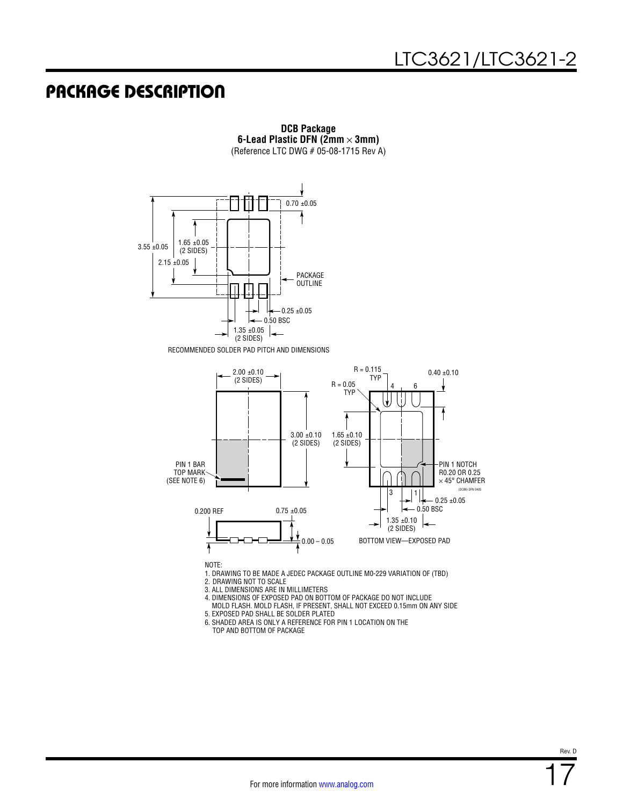### PACKAGE DESCRIPTION



RECOMMENDED SOLDER PAD PITCH AND DIMENSIONS



**DCB Package 6-Lead Plastic DFN (2mm** × **3mm)** (Reference LTC DWG # 05-08-1715 Rev A)

NOTE:

1. DRAWING TO BE MADE A JEDEC PACKAGE OUTLINE M0-229 VARIATION OF (TBD)

2. DRAWING NOT TO SCALE

3. ALL DIMENSIONS ARE IN MILLIMETERS

4. DIMENSIONS OF EXPOSED PAD ON BOTTOM OF PACKAGE DO NOT INCLUDE

 MOLD FLASH. MOLD FLASH, IF PRESENT, SHALL NOT EXCEED 0.15mm ON ANY SIDE 5. EXPOSED PAD SHALL BE SOLDER PLATED

6. SHADED AREA IS ONLY A REFERENCE FOR PIN 1 LOCATION ON THE

TOP AND BOTTOM OF PACKAGE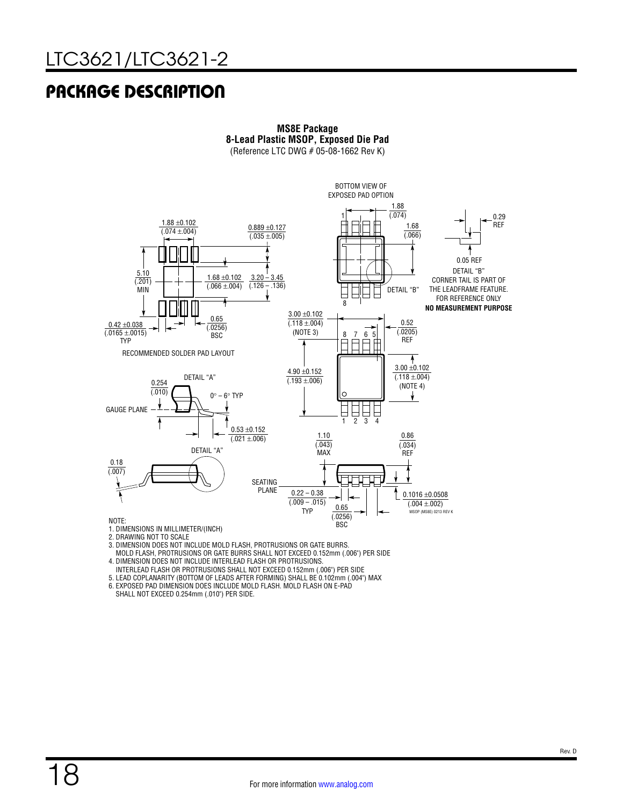### PACKAGE DESCRIPTION



**MS8E Package**

2. DRAWING NOT TO SCALE

3. DIMENSION DOES NOT INCLUDE MOLD FLASH, PROTRUSIONS OR GATE BURRS.

MOLD FLASH, PROTRUSIONS OR GATE BURRS SHALL NOT EXCEED 0.152mm (.006") PER SIDE

4. DIMENSION DOES NOT INCLUDE INTERLEAD FLASH OR PROTRUSIONS.

INTERLEAD FLASH OR PROTRUSIONS SHALL NOT EXCEED 0.152mm (.006") PER SIDE

5. LEAD COPLANARITY (BOTTOM OF LEADS AFTER FORMING) SHALL BE 0.102mm (.004") MAX

6. EXPOSED PAD DIMENSION DOES INCLUDE MOLD FLASH. MOLD FLASH ON E-PAD SHALL NOT EXCEED 0.254mm (.010") PER SIDE.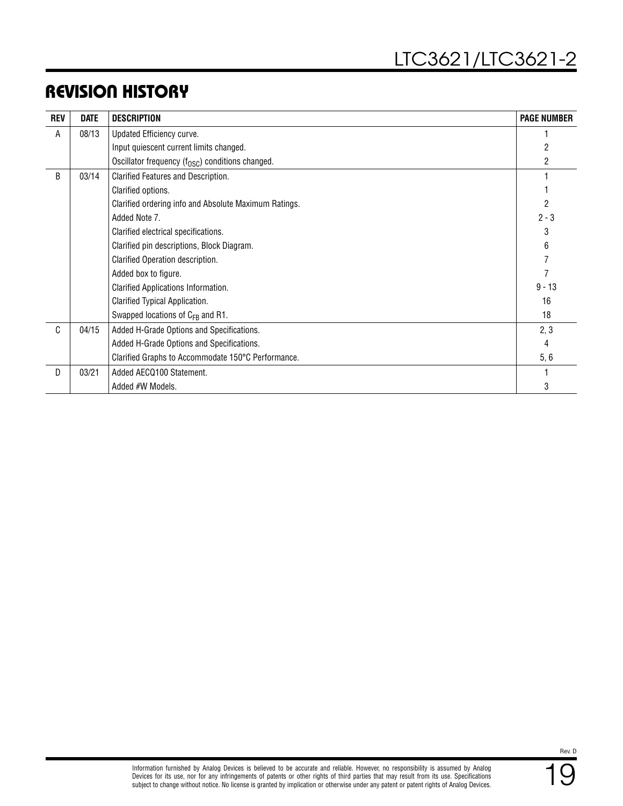### REVISION HISTORY

| <b>REV</b> | <b>DATE</b> | <b>DESCRIPTION</b>                                           | <b>PAGE NUMBER</b> |
|------------|-------------|--------------------------------------------------------------|--------------------|
| A          | 08/13       | Updated Efficiency curve.                                    |                    |
|            |             | Input quiescent current limits changed.                      |                    |
|            |             | Oscillator frequency (f <sub>OSC</sub> ) conditions changed. | 2                  |
| B          | 03/14       | Clarified Features and Description.                          |                    |
|            |             | Clarified options.                                           |                    |
|            |             | Clarified ordering info and Absolute Maximum Ratings.        |                    |
|            |             | Added Note 7.                                                | $2 - 3$            |
|            |             | Clarified electrical specifications.                         | 3                  |
|            |             | Clarified pin descriptions, Block Diagram.                   | 6                  |
|            |             | Clarified Operation description.                             |                    |
|            |             | Added box to figure.                                         |                    |
|            |             | Clarified Applications Information.                          | $9 - 13$           |
|            |             | Clarified Typical Application.                               | 16                 |
|            |             | Swapped locations of C <sub>FB</sub> and R1.                 | 18                 |
| C          | 04/15       | Added H-Grade Options and Specifications.                    | 2, 3               |
|            |             | Added H-Grade Options and Specifications.                    | 4                  |
|            |             | Clarified Graphs to Accommodate 150°C Performance.           | 5,6                |
| D          | 03/21       | Added AECQ100 Statement.                                     |                    |
|            |             | Added #W Models.                                             | 3                  |